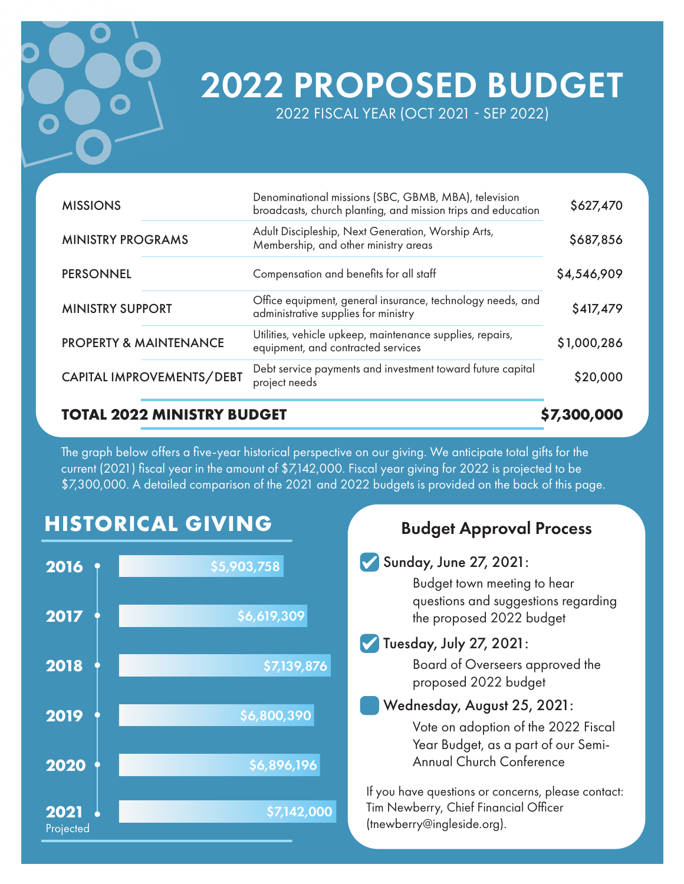

# 2022 PROPOSED BUDGET

2022 FISCAL YEAR (OCT 2021 SEP 2022)

| CAPITAL IMPROVEMENTS/DEBT         | project needs                                                                                                        | \$20,000    |
|-----------------------------------|----------------------------------------------------------------------------------------------------------------------|-------------|
|                                   | Debt service payments and investment toward future capital                                                           |             |
| <b>PROPERTY &amp; MAINTENANCE</b> | Utilities, vehicle upkeep, maintenance supplies, repairs,<br>equipment, and contracted services                      | \$1,000,286 |
| <b>MINISTRY SUPPORT</b>           | Office equipment, general insurance, technology needs, and<br>administrative supplies for ministry                   | \$417,479   |
| <b>PERSONNEL</b>                  | Compensation and benefits for all staff                                                                              | \$4,546,909 |
| <b>MINISTRY PROGRAMS</b>          | Adult Discipleship, Next Generation, Worship Arts,<br>Membership, and other ministry areas                           | \$687,856   |
| <b>MISSIONS</b>                   | Denominational missions (SBC, GBMB, MBA), television<br>broadcasts, church planting, and mission trips and education | \$627,470   |

The graph below offers a five-year historical perspective on our giving. We anticipate total gifts for the current (2021) fiscal year in the amount of \$7,142,000. Fiscal year giving for 2022 is projected to be \$7,300,000. A detailed comparison of the 2021 and 2022 budgets is provided on the back of this page.

## **HISTORICAL GIVING**



### Budget Approval Process

#### Sunday, June 27, 2021:

Budget town meeting to hear questions and suggestions regarding the proposed 2022 budget

#### Tuesday, July 27, 2021:

Board of Overseers approved the proposed 2022 budget

## Wednesday, August 25, 2021: Vote on adoption of the 2022 Fiscal

Year Budget, as a part of our Semi-Annual Church Conference

If you have questions or concerns, please contact: Tim Newberry, Chief Financial Officer (tnewberry@ingleside.org).